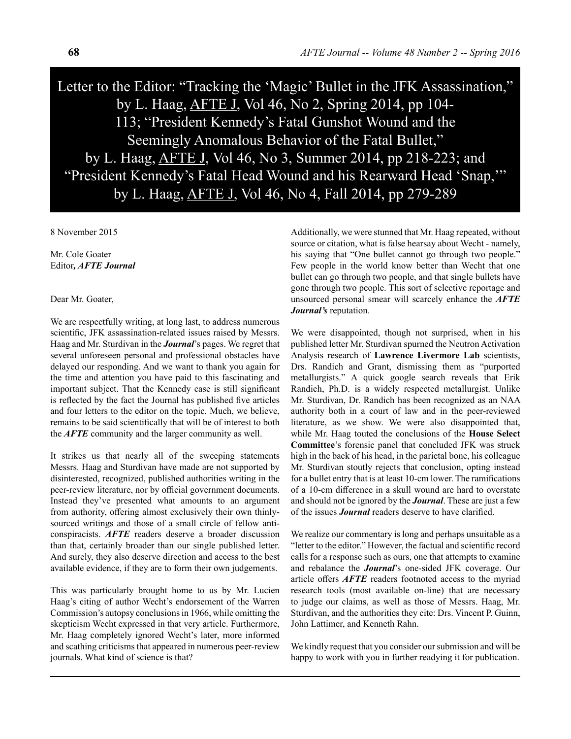Letter to the Editor: "Tracking the 'Magic' Bullet in the JFK Assassination," by L. Haag, AFTE J, Vol 46, No 2, Spring 2014, pp 104- 113; "President Kennedy's Fatal Gunshot Wound and the Seemingly Anomalous Behavior of the Fatal Bullet," by L. Haag, AFTE J, Vol 46, No 3, Summer 2014, pp 218-223; and "President Kennedy's Fatal Head Wound and his Rearward Head 'Snap,'" by L. Haag, AFTE J, Vol 46, No 4, Fall 2014, pp 279-289

8 November 2015

Mr. Cole Goater Editor*, AFTE Journal*

Dear Mr. Goater,

We are respectfully writing, at long last, to address numerous scientific, JFK assassination-related issues raised by Messrs. Haag and Mr. Sturdivan in the *Journal*'s pages. We regret that several unforeseen personal and professional obstacles have delayed our responding. And we want to thank you again for the time and attention you have paid to this fascinating and important subject. That the Kennedy case is still significant is reflected by the fact the Journal has published five articles and four letters to the editor on the topic. Much, we believe, remains to be said scientifically that will be of interest to both the *AFTE* community and the larger community as well.

It strikes us that nearly all of the sweeping statements Messrs. Haag and Sturdivan have made are not supported by disinterested, recognized, published authorities writing in the peer-review literature, nor by official government documents. Instead they've presented what amounts to an argument from authority, offering almost exclusively their own thinlysourced writings and those of a small circle of fellow anticonspiracists. *AFTE* readers deserve a broader discussion than that, certainly broader than our single published letter. And surely, they also deserve direction and access to the best available evidence, if they are to form their own judgements.

This was particularly brought home to us by Mr. Lucien Haag's citing of author Wecht's endorsement of the Warren Commission's autopsy conclusions in 1966, while omitting the skepticism Wecht expressed in that very article. Furthermore, Mr. Haag completely ignored Wecht's later, more informed and scathing criticisms that appeared in numerous peer-review journals. What kind of science is that?

Additionally, we were stunned that Mr. Haag repeated, without source or citation, what is false hearsay about Wecht - namely, his saying that "One bullet cannot go through two people." Few people in the world know better than Wecht that one bullet can go through two people, and that single bullets have gone through two people. This sort of selective reportage and unsourced personal smear will scarcely enhance the *AFTE Journal's* reputation.

We were disappointed, though not surprised, when in his published letter Mr. Sturdivan spurned the Neutron Activation Analysis research of **Lawrence Livermore Lab** scientists, Drs. Randich and Grant, dismissing them as "purported metallurgists." A quick google search reveals that Erik Randich, Ph.D. is a widely respected metallurgist. Unlike Mr. Sturdivan, Dr. Randich has been recognized as an NAA authority both in a court of law and in the peer-reviewed literature, as we show. We were also disappointed that, while Mr. Haag touted the conclusions of the **House Select Committee**'s forensic panel that concluded JFK was struck high in the back of his head, in the parietal bone, his colleague Mr. Sturdivan stoutly rejects that conclusion, opting instead for a bullet entry that is at least 10-cm lower. The ramifications of a 10-cm difference in a skull wound are hard to overstate and should not be ignored by the *Journal*. These are just a few of the issues *Journal* readers deserve to have clarified.

We realize our commentary is long and perhaps unsuitable as a "letter to the editor." However, the factual and scientific record calls for a response such as ours, one that attempts to examine and rebalance the *Journal*'s one-sided JFK coverage. Our article offers *AFTE* readers footnoted access to the myriad research tools (most available on-line) that are necessary to judge our claims, as well as those of Messrs. Haag, Mr. Sturdivan, and the authorities they cite: Drs. Vincent P. Guinn, John Lattimer, and Kenneth Rahn.

We kindly request that you consider our submission and will be happy to work with you in further readying it for publication.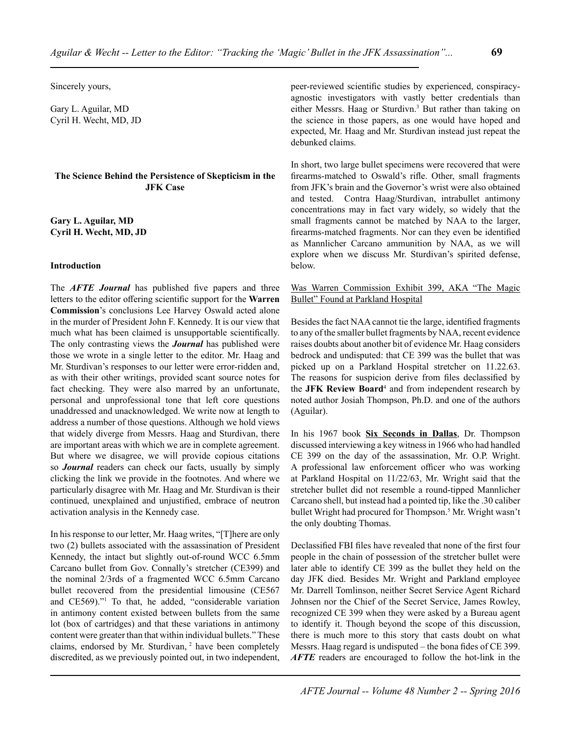Sincerely yours,

Gary L. Aguilar, MD Cyril H. Wecht, MD, JD

## **The Science Behind the Persistence of Skepticism in the JFK Case**

**Gary L. Aguilar, MD Cyril H. Wecht, MD, JD**

#### **Introduction**

The *AFTE Journal* has published five papers and three letters to the editor offering scientific support for the **Warren Commission**'s conclusions Lee Harvey Oswald acted alone in the murder of President John F. Kennedy. It is our view that much what has been claimed is unsupportable scientifically. The only contrasting views the *Journal* has published were those we wrote in a single letter to the editor. Mr. Haag and Mr. Sturdivan's responses to our letter were error-ridden and, as with their other writings, provided scant source notes for fact checking. They were also marred by an unfortunate, personal and unprofessional tone that left core questions unaddressed and unacknowledged. We write now at length to address a number of those questions. Although we hold views that widely diverge from Messrs. Haag and Sturdivan, there are important areas with which we are in complete agreement. But where we disagree, we will provide copious citations so *Journal* readers can check our facts, usually by simply clicking the link we provide in the footnotes. And where we particularly disagree with Mr. Haag and Mr. Sturdivan is their continued, unexplained and unjustified, embrace of neutron activation analysis in the Kennedy case.

In his response to our letter, Mr. Haag writes, "[T]here are only two (2) bullets associated with the assassination of President Kennedy, the intact but slightly out-of-round WCC 6.5mm Carcano bullet from Gov. Connally's stretcher (CE399) and the nominal 2/3rds of a fragmented WCC 6.5mm Carcano bullet recovered from the presidential limousine (CE567 and CE569)."<sup>1</sup> To that, he added, "considerable variation in antimony content existed between bullets from the same lot (box of cartridges) and that these variations in antimony content were greater than that within individual bullets." These claims, endorsed by Mr. Sturdivan, <sup>2</sup> have been completely discredited, as we previously pointed out, in two independent,

peer-reviewed scientific studies by experienced, conspiracyagnostic investigators with vastly better credentials than either Messrs. Haag or Sturdivn.<sup>3</sup> But rather than taking on the science in those papers, as one would have hoped and expected, Mr. Haag and Mr. Sturdivan instead just repeat the debunked claims.

In short, two large bullet specimens were recovered that were firearms-matched to Oswald's rifle. Other, small fragments from JFK's brain and the Governor's wrist were also obtained and tested. Contra Haag/Sturdivan, intrabullet antimony concentrations may in fact vary widely, so widely that the small fragments cannot be matched by NAA to the larger, firearms-matched fragments. Nor can they even be identified as Mannlicher Carcano ammunition by NAA, as we will explore when we discuss Mr. Sturdivan's spirited defense, below.

## Was Warren Commission Exhibit 399, AKA "The Magic Bullet" Found at Parkland Hospital

Besides the fact NAA cannot tie the large, identified fragments to any of the smaller bullet fragments by NAA, recent evidence raises doubts about another bit of evidence Mr. Haag considers bedrock and undisputed: that CE 399 was the bullet that was picked up on a Parkland Hospital stretcher on 11.22.63. The reasons for suspicion derive from files declassified by the **JFK Review Board**<sup>4</sup> and from independent research by noted author Josiah Thompson, Ph.D. and one of the authors (Aguilar).

In his 1967 book **Six Seconds in Dallas**, Dr. Thompson discussed interviewing a key witness in 1966 who had handled CE 399 on the day of the assassination, Mr. O.P. Wright. A professional law enforcement officer who was working at Parkland Hospital on 11/22/63, Mr. Wright said that the stretcher bullet did not resemble a round-tipped Mannlicher Carcano shell, but instead had a pointed tip, like the .30 caliber bullet Wright had procured for Thompson.<sup>5</sup> Mr. Wright wasn't the only doubting Thomas.

Declassified FBI files have revealed that none of the first four people in the chain of possession of the stretcher bullet were later able to identify CE 399 as the bullet they held on the day JFK died. Besides Mr. Wright and Parkland employee Mr. Darrell Tomlinson, neither Secret Service Agent Richard Johnsen nor the Chief of the Secret Service, James Rowley, recognized CE 399 when they were asked by a Bureau agent to identify it. Though beyond the scope of this discussion, there is much more to this story that casts doubt on what Messrs. Haag regard is undisputed – the bona fides of CE 399. *AFTE* readers are encouraged to follow the hot-link in the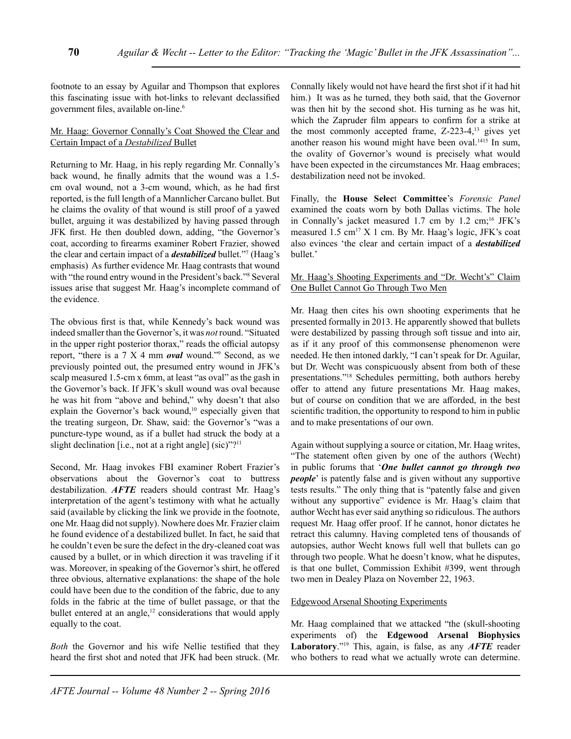footnote to an essay by Aguilar and Thompson that explores this fascinating issue with hot-links to relevant declassified government files, available on-line.<sup>6</sup>

### Mr. Haag: Governor Connally's Coat Showed the Clear and Certain Impact of a *Destabilized* Bullet

Returning to Mr. Haag, in his reply regarding Mr. Connally's back wound, he finally admits that the wound was a 1.5 cm oval wound, not a 3-cm wound, which, as he had first reported, is the full length of a Mannlicher Carcano bullet. But he claims the ovality of that wound is still proof of a yawed bullet, arguing it was destabilized by having passed through JFK first. He then doubled down, adding, "the Governor's coat, according to firearms examiner Robert Frazier, showed the clear and certain impact of a *destabilized* bullet."<sup>7</sup> (Haag's emphasis) As further evidence Mr. Haag contrasts that wound with "the round entry wound in the President's back."<sup>8</sup> Several issues arise that suggest Mr. Haag's incomplete command of the evidence.

The obvious first is that, while Kennedy's back wound was indeed smaller than the Governor's, it was *not* round. "Situated in the upper right posterior thorax," reads the official autopsy report, "there is a 7 X 4 mm *oval* wound."9 Second, as we previously pointed out, the presumed entry wound in JFK's scalp measured 1.5-cm x 6mm, at least "as oval" as the gash in the Governor's back. If JFK's skull wound was oval because he was hit from "above and behind," why doesn't that also explain the Governor's back wound,<sup>10</sup> especially given that the treating surgeon, Dr. Shaw, said: the Governor's "was a puncture-type wound, as if a bullet had struck the body at a slight declination [i.e., not at a right angle] (sic)"?<sup>11</sup>

Second, Mr. Haag invokes FBI examiner Robert Frazier's observations about the Governor's coat to buttress destabilization. *AFTE* readers should contrast Mr. Haag's interpretation of the agent's testimony with what he actually said (available by clicking the link we provide in the footnote, one Mr. Haag did not supply). Nowhere does Mr. Frazier claim he found evidence of a destabilized bullet. In fact, he said that he couldn't even be sure the defect in the dry-cleaned coat was caused by a bullet, or in which direction it was traveling if it was. Moreover, in speaking of the Governor's shirt, he offered three obvious, alternative explanations: the shape of the hole could have been due to the condition of the fabric, due to any folds in the fabric at the time of bullet passage, or that the bullet entered at an angle, $12$  considerations that would apply equally to the coat.

*Both* the Governor and his wife Nellie testified that they heard the first shot and noted that JFK had been struck. (Mr.

Connally likely would not have heard the first shot if it had hit him.) It was as he turned, they both said, that the Governor was then hit by the second shot. His turning as he was hit, which the Zapruder film appears to confirm for a strike at the most commonly accepted frame,  $Z$ -223-4,<sup>13</sup> gives yet another reason his wound might have been oval.1415 In sum, the ovality of Governor's wound is precisely what would have been expected in the circumstances Mr. Haag embraces; destabilization need not be invoked.

Finally, the **House Selec**t **Committee**'s *Forensic Panel* examined the coats worn by both Dallas victims. The hole in Connally's jacket measured 1.7 cm by 1.2 cm;<sup>16</sup> JFK's measured  $1.5 \text{ cm}^{17}$  X 1 cm. By Mr. Haag's logic, JFK's coat also evinces 'the clear and certain impact of a *destabilized* bullet.'

# Mr. Haag's Shooting Experiments and "Dr. Wecht's" Claim One Bullet Cannot Go Through Two Men

Mr. Haag then cites his own shooting experiments that he presented formally in 2013. He apparently showed that bullets were destabilized by passing through soft tissue and into air, as if it any proof of this commonsense phenomenon were needed. He then intoned darkly, "I can't speak for Dr. Aguilar, but Dr. Wecht was conspicuously absent from both of these presentations."18 Schedules permitting, both authors hereby offer to attend any future presentations Mr. Haag makes, but of course on condition that we are afforded, in the best scientific tradition, the opportunity to respond to him in public and to make presentations of our own.

Again without supplying a source or citation, Mr. Haag writes, "The statement often given by one of the authors (Wecht) in public forums that '*One bullet cannot go through two people*' is patently false and is given without any supportive tests results." The only thing that is "patently false and given without any supportive" evidence is Mr. Haag's claim that author Wecht has ever said anything so ridiculous. The authors request Mr. Haag offer proof. If he cannot, honor dictates he retract this calumny. Having completed tens of thousands of autopsies, author Wecht knows full well that bullets can go through two people. What he doesn't know, what he disputes, is that one bullet, Commission Exhibit #399, went through two men in Dealey Plaza on November 22, 1963.

# Edgewood Arsenal Shooting Experiments

Mr. Haag complained that we attacked "the (skull-shooting experiments of) the **Edgewood Arsenal Biophysics Laboratory**."19 This, again, is false, as any *AFTE* reader who bothers to read what we actually wrote can determine.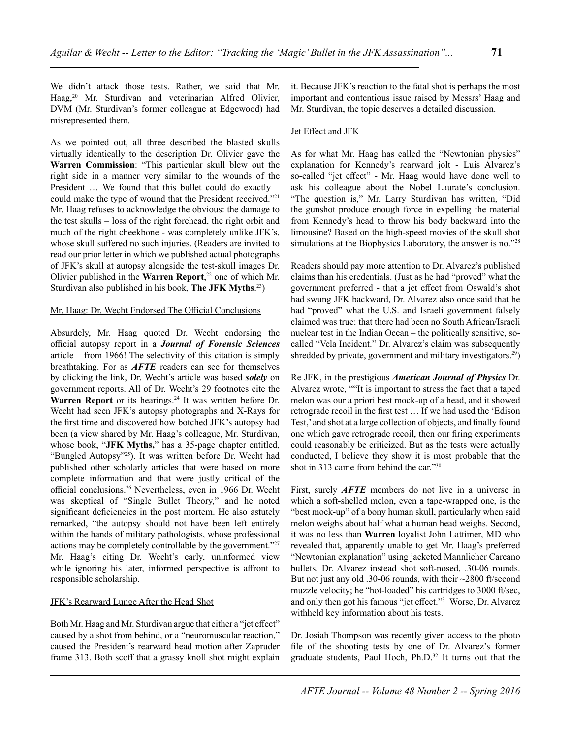We didn't attack those tests. Rather, we said that Mr. Haag,<sup>20</sup> Mr. Sturdivan and veterinarian Alfred Olivier, DVM (Mr. Sturdivan's former colleague at Edgewood) had misrepresented them.

As we pointed out, all three described the blasted skulls virtually identically to the description Dr. Olivier gave the **Warren Commission**: "This particular skull blew out the right side in a manner very similar to the wounds of the President … We found that this bullet could do exactly – could make the type of wound that the President received."21 Mr. Haag refuses to acknowledge the obvious: the damage to the test skulls – loss of the right forehead, the right orbit and much of the right cheekbone - was completely unlike JFK's, whose skull suffered no such injuries. (Readers are invited to read our prior letter in which we published actual photographs of JFK's skull at autopsy alongside the test-skull images Dr. Olivier published in the **Warren Report**, 22 one of which Mr. Sturdivan also published in his book, **The JFK Myths**. 23)

## Mr. Haag: Dr. Wecht Endorsed The Official Conclusions

Absurdely, Mr. Haag quoted Dr. Wecht endorsing the official autopsy report in a *Journal of Forensic Sciences* article – from 1966! The selectivity of this citation is simply breathtaking. For as *AFTE* readers can see for themselves by clicking the link, Dr. Wecht's article was based *solely* on government reports. All of Dr. Wecht's 29 footnotes cite the Warren Report or its hearings.<sup>24</sup> It was written before Dr. Wecht had seen JFK's autopsy photographs and X-Rays for the first time and discovered how botched JFK's autopsy had been (a view shared by Mr. Haag's colleague, Mr. Sturdivan, whose book, "**JFK Myths,**" has a 35-page chapter entitled, "Bungled Autopsy"25). It was written before Dr. Wecht had published other scholarly articles that were based on more complete information and that were justly critical of the official conclusions.26 Nevertheless, even in 1966 Dr. Wecht was skeptical of "Single Bullet Theory," and he noted significant deficiencies in the post mortem. He also astutely remarked, "the autopsy should not have been left entirely within the hands of military pathologists, whose professional actions may be completely controllable by the government."<sup>27</sup> Mr. Haag's citing Dr. Wecht's early, uninformed view while ignoring his later, informed perspective is affront to responsible scholarship.

# JFK's Rearward Lunge After the Head Shot

Both Mr. Haag and Mr. Sturdivan argue that either a "jet effect" caused by a shot from behind, or a "neuromuscular reaction," caused the President's rearward head motion after Zapruder frame 313. Both scoff that a grassy knoll shot might explain it. Because JFK's reaction to the fatal shot is perhaps the most important and contentious issue raised by Messrs' Haag and Mr. Sturdivan, the topic deserves a detailed discussion.

## Jet Effect and JFK

As for what Mr. Haag has called the "Newtonian physics" explanation for Kennedy's rearward jolt - Luis Alvarez's so-called "jet effect" - Mr. Haag would have done well to ask his colleague about the Nobel Laurate's conclusion. "The question is," Mr. Larry Sturdivan has written, "Did the gunshot produce enough force in expelling the material from Kennedy's head to throw his body backward into the limousine? Based on the high-speed movies of the skull shot simulations at the Biophysics Laboratory, the answer is no."28

Readers should pay more attention to Dr. Alvarez's published claims than his credentials. (Just as he had "proved" what the government preferred - that a jet effect from Oswald's shot had swung JFK backward, Dr. Alvarez also once said that he had "proved" what the U.S. and Israeli government falsely claimed was true: that there had been no South African/Israeli nuclear test in the Indian Ocean – the politically sensitive, socalled "Vela Incident." Dr. Alvarez's claim was subsequently shredded by private, government and military investigators.<sup>29</sup>)

Re JFK, in the prestigious *American Journal of Physics* Dr. Alvarez wrote, ""It is important to stress the fact that a taped melon was our a priori best mock-up of a head, and it showed retrograde recoil in the first test … If we had used the 'Edison Test,' and shot at a large collection of objects, and finally found one which gave retrograde recoil, then our firing experiments could reasonably be criticized. But as the tests were actually conducted, I believe they show it is most probable that the shot in 313 came from behind the car."30

First, surely *AFTE* members do not live in a universe in which a soft-shelled melon, even a tape-wrapped one, is the "best mock-up" of a bony human skull, particularly when said melon weighs about half what a human head weighs. Second, it was no less than **Warren** loyalist John Lattimer, MD who revealed that, apparently unable to get Mr. Haag's preferred "Newtonian explanation" using jacketed Mannlicher Carcano bullets, Dr. Alvarez instead shot soft-nosed, .30-06 rounds. But not just any old .30-06 rounds, with their ~2800 ft/second muzzle velocity; he "hot-loaded" his cartridges to 3000 ft/sec, and only then got his famous "jet effect."31 Worse, Dr. Alvarez withheld key information about his tests.

Dr. Josiah Thompson was recently given access to the photo file of the shooting tests by one of Dr. Alvarez's former graduate students, Paul Hoch, Ph.D.<sup>32</sup> It turns out that the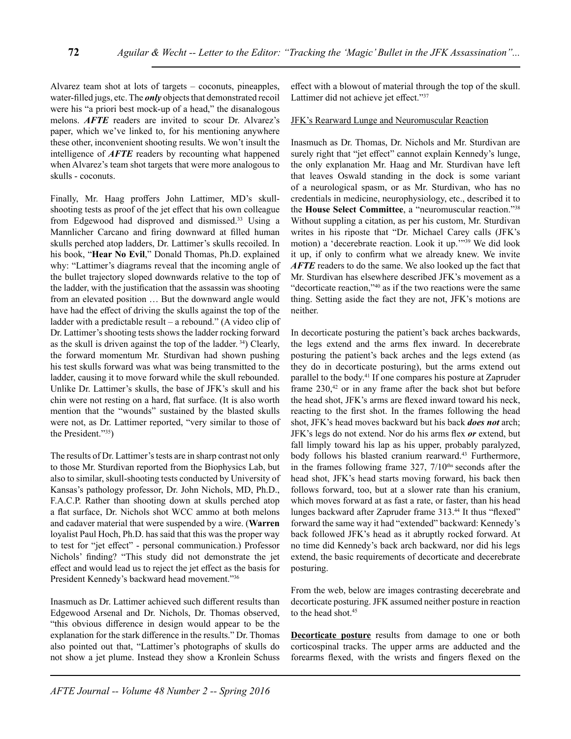Alvarez team shot at lots of targets – coconuts, pineapples, water-filled jugs, etc. The *only* objects that demonstrated recoil were his "a priori best mock-up of a head," the disanalogous melons. *AFTE* readers are invited to scour Dr. Alvarez's paper, which we've linked to, for his mentioning anywhere these other, inconvenient shooting results. We won't insult the intelligence of *AFTE* readers by recounting what happened when Alvarez's team shot targets that were more analogous to skulls - coconuts.

Finally, Mr. Haag proffers John Lattimer, MD's skullshooting tests as proof of the jet effect that his own colleague from Edgewood had disproved and dismissed.<sup>33</sup> Using a Mannlicher Carcano and firing downward at filled human skulls perched atop ladders, Dr. Lattimer's skulls recoiled. In his book, "**Hear No Evil**," Donald Thomas, Ph.D. explained why: "Lattimer's diagrams reveal that the incoming angle of the bullet trajectory sloped downwards relative to the top of the ladder, with the justification that the assassin was shooting from an elevated position … But the downward angle would have had the effect of driving the skulls against the top of the ladder with a predictable result – a rebound." (A video clip of Dr. Lattimer's shooting tests shows the ladder rocking forward as the skull is driven against the top of the ladder. 34) Clearly, the forward momentum Mr. Sturdivan had shown pushing his test skulls forward was what was being transmitted to the ladder, causing it to move forward while the skull rebounded. Unlike Dr. Lattimer's skulls, the base of JFK's skull and his chin were not resting on a hard, flat surface. (It is also worth mention that the "wounds" sustained by the blasted skulls were not, as Dr. Lattimer reported, "very similar to those of the President."35)

The results of Dr. Lattimer's tests are in sharp contrast not only to those Mr. Sturdivan reported from the Biophysics Lab, but also to similar, skull-shooting tests conducted by University of Kansas's pathology professor, Dr. John Nichols, MD, Ph.D., F.A.C.P. Rather than shooting down at skulls perched atop a flat surface, Dr. Nichols shot WCC ammo at both melons and cadaver material that were suspended by a wire. (**Warren** loyalist Paul Hoch, Ph.D. has said that this was the proper way to test for "jet effect" - personal communication.) Professor Nichols' finding? "This study did not demonstrate the jet effect and would lead us to reject the jet effect as the basis for President Kennedy's backward head movement."<sup>36</sup>

Inasmuch as Dr. Lattimer achieved such different results than Edgewood Arsenal and Dr. Nichols, Dr. Thomas observed, "this obvious difference in design would appear to be the explanation for the stark difference in the results." Dr. Thomas also pointed out that, "Lattimer's photographs of skulls do not show a jet plume. Instead they show a Kronlein Schuss effect with a blowout of material through the top of the skull. Lattimer did not achieve jet effect."37

### JFK's Rearward Lunge and Neuromuscular Reaction

Inasmuch as Dr. Thomas, Dr. Nichols and Mr. Sturdivan are surely right that "jet effect" cannot explain Kennedy's lunge, the only explanation Mr. Haag and Mr. Sturdivan have left that leaves Oswald standing in the dock is some variant of a neurological spasm, or as Mr. Sturdivan, who has no credentials in medicine, neurophysiology, etc., described it to the **House Select Committee**, a "neuromuscular reaction."38 Without suppling a citation, as per his custom, Mr. Sturdivan writes in his riposte that "Dr. Michael Carey calls (JFK's motion) a 'decerebrate reaction. Look it up.'"39 We did look it up, if only to confirm what we already knew. We invite *AFTE* readers to do the same. We also looked up the fact that Mr. Sturdivan has elsewhere described JFK's movement as a "decorticate reaction,"40 as if the two reactions were the same thing. Setting aside the fact they are not, JFK's motions are neither.

In decorticate posturing the patient's back arches backwards, the legs extend and the arms flex inward. In decerebrate posturing the patient's back arches and the legs extend (as they do in decorticate posturing), but the arms extend out parallel to the body.<sup>41</sup> If one compares his posture at Zapruder frame  $230<sup>42</sup>$  or in any frame after the back shot but before the head shot, JFK's arms are flexed inward toward his neck, reacting to the first shot. In the frames following the head shot, JFK's head moves backward but his back *does not* arch; JFK's legs do not extend. Nor do his arms flex *or* extend, but fall limply toward his lap as his upper, probably paralyzed, body follows his blasted cranium rearward.<sup>43</sup> Furthermore, in the frames following frame  $327$ ,  $7/10$ <sup>ths</sup> seconds after the head shot, JFK's head starts moving forward, his back then follows forward, too, but at a slower rate than his cranium, which moves forward at as fast a rate, or faster, than his head lunges backward after Zapruder frame 313.<sup>44</sup> It thus "flexed" forward the same way it had "extended" backward: Kennedy's back followed JFK's head as it abruptly rocked forward. At no time did Kennedy's back arch backward, nor did his legs extend, the basic requirements of decorticate and decerebrate posturing.

From the web, below are images contrasting decerebrate and decorticate posturing. JFK assumed neither posture in reaction to the head shot.<sup>45</sup>

**Decorticate posture** results from damage to one or both corticospinal tracks. The upper arms are adducted and the forearms flexed, with the wrists and fingers flexed on the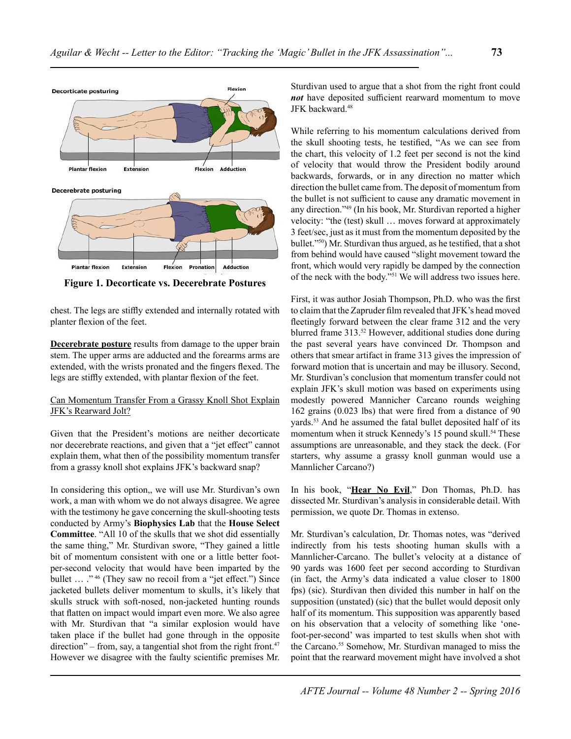

**Figure 1. Decorticate vs. Decerebrate Postures**

chest. The legs are stiffly extended and internally rotated with planter flexion of the feet.

**Decerebrate posture** results from damage to the upper brain stem. The upper arms are adducted and the forearms arms are extended, with the wrists pronated and the fingers flexed. The legs are stiffly extended, with plantar flexion of the feet.

# Can Momentum Transfer From a Grassy Knoll Shot Explain JFK's Rearward Jolt?

Given that the President's motions are neither decorticate nor decerebrate reactions, and given that a "jet effect" cannot explain them, what then of the possibility momentum transfer from a grassy knoll shot explains JFK's backward snap?

In considering this option,, we will use Mr. Sturdivan's own work, a man with whom we do not always disagree. We agree with the testimony he gave concerning the skull-shooting tests conducted by Army's **Biophysics Lab** that the **House Select Committee**. "All 10 of the skulls that we shot did essentially the same thing," Mr. Sturdivan swore, "They gained a little bit of momentum consistent with one or a little better footper-second velocity that would have been imparted by the bullet ... ."<sup>46</sup> (They saw no recoil from a "jet effect.") Since jacketed bullets deliver momentum to skulls, it's likely that skulls struck with soft-nosed, non-jacketed hunting rounds that flatten on impact would impart even more. We also agree with Mr. Sturdivan that "a similar explosion would have taken place if the bullet had gone through in the opposite direction" – from, say, a tangential shot from the right front. $47$ However we disagree with the faulty scientific premises Mr.

Sturdivan used to argue that a shot from the right front could *not* have deposited sufficient rearward momentum to move JFK backward.<sup>48</sup>

While referring to his momentum calculations derived from the skull shooting tests, he testified, "As we can see from the chart, this velocity of 1.2 feet per second is not the kind of velocity that would throw the President bodily around backwards, forwards, or in any direction no matter which direction the bullet came from. The deposit of momentum from the bullet is not sufficient to cause any dramatic movement in any direction."49 (In his book, Mr. Sturdivan reported a higher velocity: "the (test) skull … moves forward at approximately 3 feet/sec, just as it must from the momentum deposited by the bullet."50) Mr. Sturdivan thus argued, as he testified, that a shot from behind would have caused "slight movement toward the front, which would very rapidly be damped by the connection of the neck with the body."51 We will address two issues here.

First, it was author Josiah Thompson, Ph.D. who was the first to claim that the Zapruder film revealed that JFK's head moved fleetingly forward between the clear frame 312 and the very blurred frame 313.<sup>52</sup> However, additional studies done during the past several years have convinced Dr. Thompson and others that smear artifact in frame 313 gives the impression of forward motion that is uncertain and may be illusory. Second, Mr. Sturdivan's conclusion that momentum transfer could not explain JFK's skull motion was based on experiments using modestly powered Mannicher Carcano rounds weighing 162 grains (0.023 lbs) that were fired from a distance of 90 yards.<sup>53</sup> And he assumed the fatal bullet deposited half of its momentum when it struck Kennedy's 15 pound skull.<sup>54</sup> These assumptions are unreasonable, and they stack the deck. (For starters, why assume a grassy knoll gunman would use a Mannlicher Carcano?)

In his book, "**Hear No Evil**," Don Thomas, Ph.D. has dissected Mr. Sturdivan's analysis in considerable detail. With permission, we quote Dr. Thomas in extenso.

Mr. Sturdivan's calculation, Dr. Thomas notes, was "derived indirectly from his tests shooting human skulls with a Mannlicher-Carcano. The bullet's velocity at a distance of 90 yards was 1600 feet per second according to Sturdivan (in fact, the Army's data indicated a value closer to 1800 fps) (sic). Sturdivan then divided this number in half on the supposition (unstated) (sic) that the bullet would deposit only half of its momentum. This supposition was apparently based on his observation that a velocity of something like 'onefoot-per-second' was imparted to test skulls when shot with the Carcano.<sup>55</sup> Somehow, Mr. Sturdivan managed to miss the point that the rearward movement might have involved a shot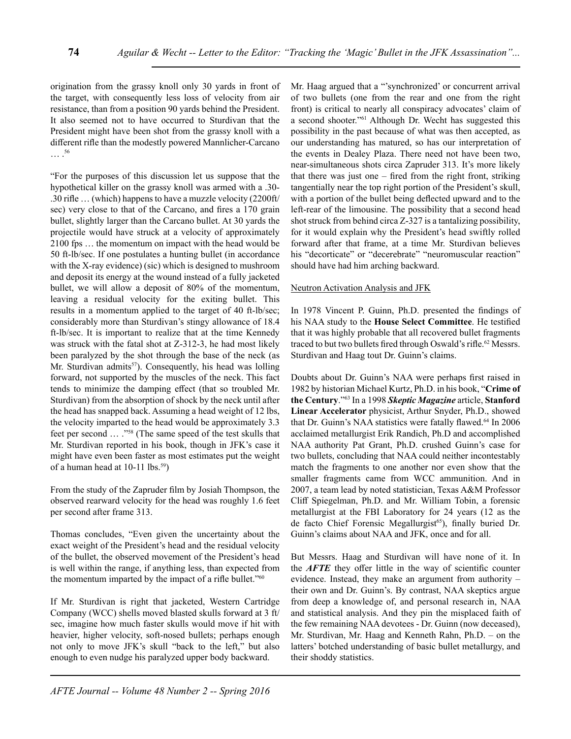origination from the grassy knoll only 30 yards in front of the target, with consequently less loss of velocity from air resistance, than from a position 90 yards behind the President. It also seemed not to have occurred to Sturdivan that the President might have been shot from the grassy knoll with a different rifle than the modestly powered Mannlicher-Carcano … .56

"For the purposes of this discussion let us suppose that the hypothetical killer on the grassy knoll was armed with a .30- .30 rifle … (which) happens to have a muzzle velocity (2200ft/ sec) very close to that of the Carcano, and fires a 170 grain bullet, slightly larger than the Carcano bullet. At 30 yards the projectile would have struck at a velocity of approximately 2100 fps … the momentum on impact with the head would be 50 ft-lb/sec. If one postulates a hunting bullet (in accordance with the X-ray evidence) (sic) which is designed to mushroom and deposit its energy at the wound instead of a fully jacketed bullet, we will allow a deposit of 80% of the momentum, leaving a residual velocity for the exiting bullet. This results in a momentum applied to the target of 40 ft-lb/sec; considerably more than Sturdivan's stingy allowance of 18.4 ft-lb/sec. It is important to realize that at the time Kennedy was struck with the fatal shot at Z-312-3, he had most likely been paralyzed by the shot through the base of the neck (as Mr. Sturdivan admits<sup>57</sup>). Consequently, his head was lolling forward, not supported by the muscles of the neck. This fact tends to minimize the damping effect (that so troubled Mr. Sturdivan) from the absorption of shock by the neck until after the head has snapped back. Assuming a head weight of 12 lbs, the velocity imparted to the head would be approximately 3.3 feet per second … ."58 (The same speed of the test skulls that Mr. Sturdivan reported in his book, though in JFK's case it might have even been faster as most estimates put the weight of a human head at 10-11 lbs.<sup>59</sup>)

From the study of the Zapruder film by Josiah Thompson, the observed rearward velocity for the head was roughly 1.6 feet per second after frame 313.

Thomas concludes, "Even given the uncertainty about the exact weight of the President's head and the residual velocity of the bullet, the observed movement of the President's head is well within the range, if anything less, than expected from the momentum imparted by the impact of a rifle bullet."<sup>60</sup>

If Mr. Sturdivan is right that jacketed, Western Cartridge Company (WCC) shells moved blasted skulls forward at 3 ft/ sec, imagine how much faster skulls would move if hit with heavier, higher velocity, soft-nosed bullets; perhaps enough not only to move JFK's skull "back to the left," but also enough to even nudge his paralyzed upper body backward.

Mr. Haag argued that a "'synchronized' or concurrent arrival of two bullets (one from the rear and one from the right front) is critical to nearly all conspiracy advocates' claim of a second shooter."61 Although Dr. Wecht has suggested this possibility in the past because of what was then accepted, as our understanding has matured, so has our interpretation of the events in Dealey Plaza. There need not have been two, near-simultaneous shots circa Zapruder 313. It's more likely that there was just one – fired from the right front, striking tangentially near the top right portion of the President's skull, with a portion of the bullet being deflected upward and to the left-rear of the limousine. The possibility that a second head shot struck from behind circa Z-327 is a tantalizing possibility, for it would explain why the President's head swiftly rolled forward after that frame, at a time Mr. Sturdivan believes his "decorticate" or "decerebrate" "neuromuscular reaction" should have had him arching backward.

#### Neutron Activation Analysis and JFK

In 1978 Vincent P. Guinn, Ph.D. presented the findings of his NAA study to the **House Select Committee**. He testified that it was highly probable that all recovered bullet fragments traced to but two bullets fired through Oswald's rifle.<sup>62</sup> Messrs. Sturdivan and Haag tout Dr. Guinn's claims.

Doubts about Dr. Guinn's NAA were perhaps first raised in 1982 by historian Michael Kurtz, Ph.D. in his book, "**Crime of the Century**."63 In a 1998 *Skeptic Magazine* article, **Stanford Linear Accelerator** physicist, Arthur Snyder, Ph.D., showed that Dr. Guinn's NAA statistics were fatally flawed.<sup>64</sup> In 2006 acclaimed metallurgist Erik Randich, Ph.D and accomplished NAA authority Pat Grant, Ph.D. crushed Guinn's case for two bullets, concluding that NAA could neither incontestably match the fragments to one another nor even show that the smaller fragments came from WCC ammunition. And in 2007, a team lead by noted statistician, Texas A&M Professor Cliff Spiegelman, Ph.D. and Mr. William Tobin, a forensic metallurgist at the FBI Laboratory for 24 years (12 as the de facto Chief Forensic Megallurgist<sup>65</sup>), finally buried Dr. Guinn's claims about NAA and JFK, once and for all.

But Messrs. Haag and Sturdivan will have none of it. In the *AFTE* they offer little in the way of scientific counter evidence. Instead, they make an argument from authority – their own and Dr. Guinn's. By contrast, NAA skeptics argue from deep a knowledge of, and personal research in, NAA and statistical analysis. And they pin the misplaced faith of the few remaining NAA devotees - Dr. Guinn (now deceased), Mr. Sturdivan, Mr. Haag and Kenneth Rahn, Ph.D. – on the latters' botched understanding of basic bullet metallurgy, and their shoddy statistics.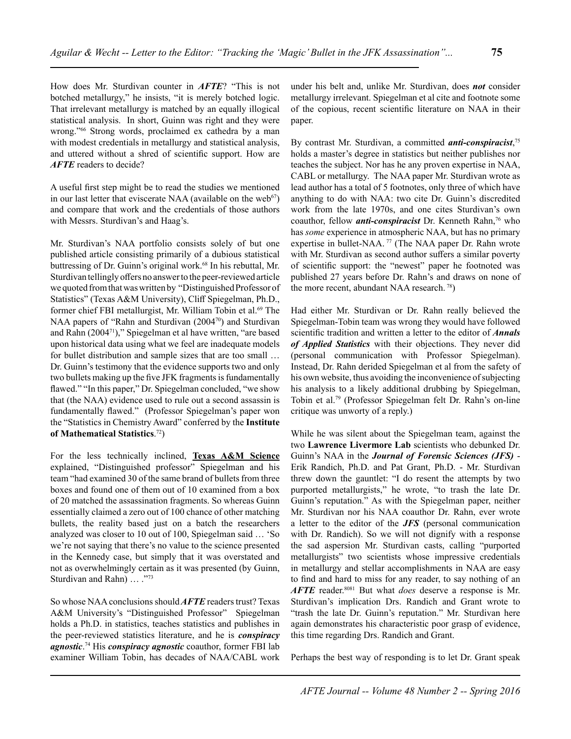How does Mr. Sturdivan counter in *AFTE*? "This is not botched metallurgy," he insists, "it is merely botched logic. That irrelevant metallurgy is matched by an equally illogical statistical analysis. In short, Guinn was right and they were wrong."66 Strong words, proclaimed ex cathedra by a man with modest credentials in metallurgy and statistical analysis, and uttered without a shred of scientific support. How are *AFTE* readers to decide?

A useful first step might be to read the studies we mentioned in our last letter that eviscerate NAA (available on the web $67$ ) and compare that work and the credentials of those authors with Messrs. Sturdivan's and Haag's.

Mr. Sturdivan's NAA portfolio consists solely of but one published article consisting primarily of a dubious statistical buttressing of Dr. Guinn's original work.<sup>68</sup> In his rebuttal, Mr. Sturdivan tellingly offers no answer to the peer-reviewed article we quoted from that was written by "Distinguished Professor of Statistics" (Texas A&M University), Cliff Spiegelman, Ph.D., former chief FBI metallurgist, Mr. William Tobin et al.<sup>69</sup> The NAA papers of "Rahn and Sturdivan (2004<sup>70</sup>) and Sturdivan and Rahn (200471)," Spiegelman et al have written, "are based upon historical data using what we feel are inadequate models for bullet distribution and sample sizes that are too small … Dr. Guinn's testimony that the evidence supports two and only two bullets making up the five JFK fragments is fundamentally flawed." "In this paper," Dr. Spiegelman concluded, "we show that (the NAA) evidence used to rule out a second assassin is fundamentally flawed." (Professor Spiegelman's paper won the "Statistics in Chemistry Award" conferred by the **Institute of Mathematical Statistics**. 72)

For the less technically inclined, **Texas A&M Science** explained, "Distinguished professor" Spiegelman and his team "had examined 30 of the same brand of bullets from three boxes and found one of them out of 10 examined from a box of 20 matched the assassination fragments. So whereas Guinn essentially claimed a zero out of 100 chance of other matching bullets, the reality based just on a batch the researchers analyzed was closer to 10 out of 100, Spiegelman said … 'So we're not saying that there's no value to the science presented in the Kennedy case, but simply that it was overstated and not as overwhelmingly certain as it was presented (by Guinn, Sturdivan and Rahn) ... ."73

So whose NAA conclusions should *AFTE* readers trust? Texas A&M University's "Distinguished Professor" Spiegelman holds a Ph.D. in statistics, teaches statistics and publishes in the peer-reviewed statistics literature, and he is *conspiracy agnostic*. <sup>74</sup> His *conspiracy agnostic* coauthor, former FBI lab examiner William Tobin, has decades of NAA/CABL work

under his belt and, unlike Mr. Sturdivan, does *not* consider metallurgy irrelevant. Spiegelman et al cite and footnote some of the copious, recent scientific literature on NAA in their paper.

By contrast Mr. Sturdivan, a committed *anti-conspiracist*, 75 holds a master's degree in statistics but neither publishes nor teaches the subject. Nor has he any proven expertise in NAA, CABL or metallurgy. The NAA paper Mr. Sturdivan wrote as lead author has a total of 5 footnotes, only three of which have anything to do with NAA: two cite Dr. Guinn's discredited work from the late 1970s, and one cites Sturdivan's own coauthor, fellow *anti-conspiracist* Dr. Kenneth Rahn,<sup>76</sup> who has *some* experience in atmospheric NAA, but has no primary expertise in bullet-NAA.<sup>77</sup> (The NAA paper Dr. Rahn wrote with Mr. Sturdivan as second author suffers a similar poverty of scientific support: the "newest" paper he footnoted was published 27 years before Dr. Rahn's and draws on none of the more recent, abundant NAA research. 78)

Had either Mr. Sturdivan or Dr. Rahn really believed the Spiegelman-Tobin team was wrong they would have followed scientific tradition and written a letter to the editor of *Annals of Applied Statistics* with their objections. They never did (personal communication with Professor Spiegelman). Instead, Dr. Rahn derided Spiegelman et al from the safety of his own website, thus avoiding the inconvenience of subjecting his analysis to a likely additional drubbing by Spiegelman, Tobin et al.79 (Professor Spiegelman felt Dr. Rahn's on-line critique was unworty of a reply.)

While he was silent about the Spiegelman team, against the two **Lawrence Livermore Lab** scientists who debunked Dr. Guinn's NAA in the *Journal of Forensic Sciences (JFS)* - Erik Randich, Ph.D. and Pat Grant, Ph.D. - Mr. Sturdivan threw down the gauntlet: "I do resent the attempts by two purported metallurgists," he wrote, "to trash the late Dr. Guinn's reputation." As with the Spiegelman paper, neither Mr. Sturdivan nor his NAA coauthor Dr. Rahn, ever wrote a letter to the editor of the *JFS* (personal communication with Dr. Randich). So we will not dignify with a response the sad aspersion Mr. Sturdivan casts, calling "purported metallurgists" two scientists whose impressive credentials in metallurgy and stellar accomplishments in NAA are easy to find and hard to miss for any reader, to say nothing of an *AFTE* reader.8081 But what *does* deserve a response is Mr. Sturdivan's implication Drs. Randich and Grant wrote to "trash the late Dr. Guinn's reputation." Mr. Sturdivan here again demonstrates his characteristic poor grasp of evidence, this time regarding Drs. Randich and Grant.

Perhaps the best way of responding is to let Dr. Grant speak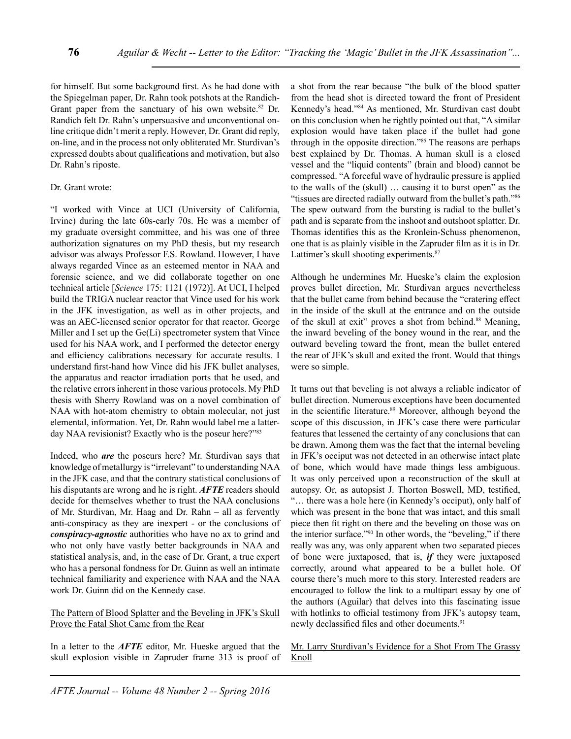for himself. But some background first. As he had done with the Spiegelman paper, Dr. Rahn took potshots at the Randich-Grant paper from the sanctuary of his own website. $82$  Dr. Randich felt Dr. Rahn's unpersuasive and unconventional online critique didn't merit a reply. However, Dr. Grant did reply, on-line, and in the process not only obliterated Mr. Sturdivan's expressed doubts about qualifications and motivation, but also Dr. Rahn's riposte.

### Dr. Grant wrote:

"I worked with Vince at UCI (University of California, Irvine) during the late 60s-early 70s. He was a member of my graduate oversight committee, and his was one of three authorization signatures on my PhD thesis, but my research advisor was always Professor F.S. Rowland. However, I have always regarded Vince as an esteemed mentor in NAA and forensic science, and we did collaborate together on one technical article [*Science* 175: 1121 (1972)]. At UCI, I helped build the TRIGA nuclear reactor that Vince used for his work in the JFK investigation, as well as in other projects, and was an AEC-licensed senior operator for that reactor. George Miller and I set up the Ge(Li) spectrometer system that Vince used for his NAA work, and I performed the detector energy and efficiency calibrations necessary for accurate results. I understand first-hand how Vince did his JFK bullet analyses, the apparatus and reactor irradiation ports that he used, and the relative errors inherent in those various protocols. My PhD thesis with Sherry Rowland was on a novel combination of NAA with hot-atom chemistry to obtain molecular, not just elemental, information. Yet, Dr. Rahn would label me a latterday NAA revisionist? Exactly who is the poseur here?"<sup>83</sup>

Indeed, who *are* the poseurs here? Mr. Sturdivan says that knowledge of metallurgy is "irrelevant" to understanding NAA in the JFK case, and that the contrary statistical conclusions of his disputants are wrong and he is right. *AFTE* readers should decide for themselves whether to trust the NAA conclusions of Mr. Sturdivan, Mr. Haag and Dr. Rahn – all as fervently anti-conspiracy as they are inexpert - or the conclusions of *conspiracy-agnostic* authorities who have no ax to grind and who not only have vastly better backgrounds in NAA and statistical analysis, and, in the case of Dr. Grant, a true expert who has a personal fondness for Dr. Guinn as well an intimate technical familiarity and experience with NAA and the NAA work Dr. Guinn did on the Kennedy case.

# The Pattern of Blood Splatter and the Beveling in JFK's Skull Prove the Fatal Shot Came from the Rear

In a letter to the *AFTE* editor, Mr. Hueske argued that the skull explosion visible in Zapruder frame 313 is proof of a shot from the rear because "the bulk of the blood spatter from the head shot is directed toward the front of President Kennedy's head."84 As mentioned, Mr. Sturdivan cast doubt on this conclusion when he rightly pointed out that, "A similar explosion would have taken place if the bullet had gone through in the opposite direction."85 The reasons are perhaps best explained by Dr. Thomas. A human skull is a closed vessel and the "liquid contents" (brain and blood) cannot be compressed. "A forceful wave of hydraulic pressure is applied to the walls of the (skull) … causing it to burst open" as the "tissues are directed radially outward from the bullet's path."86 The spew outward from the bursting is radial to the bullet's path and is separate from the inshoot and outshoot splatter. Dr. Thomas identifies this as the Kronlein-Schuss phenomenon, one that is as plainly visible in the Zapruder film as it is in Dr. Lattimer's skull shooting experiments.<sup>87</sup>

Although he undermines Mr. Hueske's claim the explosion proves bullet direction, Mr. Sturdivan argues nevertheless that the bullet came from behind because the "cratering effect in the inside of the skull at the entrance and on the outside of the skull at exit" proves a shot from behind.<sup>88</sup> Meaning, the inward beveling of the boney wound in the rear, and the outward beveling toward the front, mean the bullet entered the rear of JFK's skull and exited the front. Would that things were so simple.

It turns out that beveling is not always a reliable indicator of bullet direction. Numerous exceptions have been documented in the scientific literature.<sup>89</sup> Moreover, although beyond the scope of this discussion, in JFK's case there were particular features that lessened the certainty of any conclusions that can be drawn. Among them was the fact that the internal beveling in JFK's occiput was not detected in an otherwise intact plate of bone, which would have made things less ambiguous. It was only perceived upon a reconstruction of the skull at autopsy. Or, as autopsist J. Thorton Boswell, MD, testified, "… there was a hole here (in Kennedy's occiput), only half of which was present in the bone that was intact, and this small piece then fit right on there and the beveling on those was on the interior surface."90 In other words, the "beveling," if there really was any, was only apparent when two separated pieces of bone were juxtaposed, that is, *if* they were juxtaposed correctly, around what appeared to be a bullet hole. Of course there's much more to this story. Interested readers are encouraged to follow the link to a multipart essay by one of the authors (Aguilar) that delves into this fascinating issue with hotlinks to official testimony from JFK's autopsy team, newly declassified files and other documents.<sup>91</sup>

# Mr. Larry Sturdivan's Evidence for a Shot From The Grassy Knoll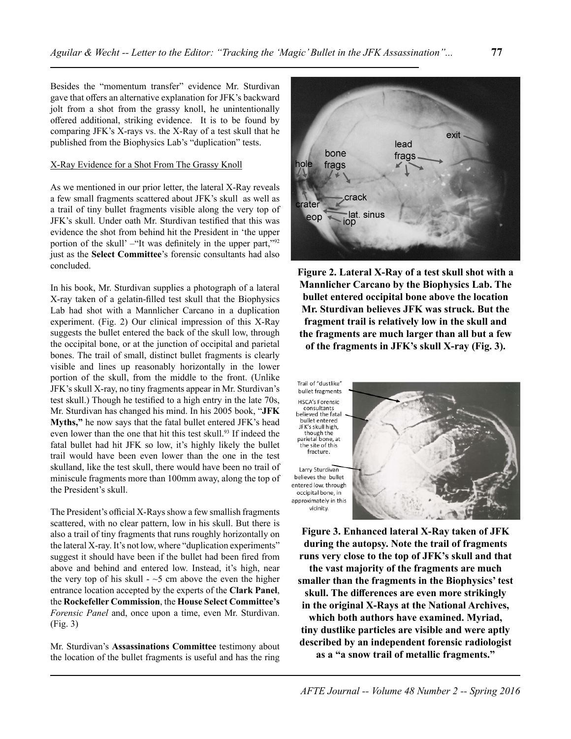Besides the "momentum transfer" evidence Mr. Sturdivan gave that offers an alternative explanation for JFK's backward jolt from a shot from the grassy knoll, he unintentionally offered additional, striking evidence. It is to be found by comparing JFK's X-rays vs. the X-Ray of a test skull that he published from the Biophysics Lab's "duplication" tests.

#### X-Ray Evidence for a Shot From The Grassy Knoll

As we mentioned in our prior letter, the lateral X-Ray reveals a few small fragments scattered about JFK's skull as well as a trail of tiny bullet fragments visible along the very top of JFK's skull. Under oath Mr. Sturdivan testified that this was evidence the shot from behind hit the President in 'the upper portion of the skull' –"It was definitely in the upper part,"<sup>92</sup> just as the **Select Committee**'s forensic consultants had also concluded.

In his book, Mr. Sturdivan supplies a photograph of a lateral X-ray taken of a gelatin-filled test skull that the Biophysics Lab had shot with a Mannlicher Carcano in a duplication experiment. (Fig. 2) Our clinical impression of this X-Ray suggests the bullet entered the back of the skull low, through the occipital bone, or at the junction of occipital and parietal bones. The trail of small, distinct bullet fragments is clearly visible and lines up reasonably horizontally in the lower portion of the skull, from the middle to the front. (Unlike JFK's skull X-ray, no tiny fragments appear in Mr. Sturdivan's test skull.) Though he testified to a high entry in the late 70s, Mr. Sturdivan has changed his mind. In his 2005 book, "**JFK Myths,"** he now says that the fatal bullet entered JFK's head even lower than the one that hit this test skull.<sup>93</sup> If indeed the fatal bullet had hit JFK so low, it's highly likely the bullet trail would have been even lower than the one in the test skulland, like the test skull, there would have been no trail of miniscule fragments more than 100mm away, along the top of the President's skull.

The President's official X-Rays show a few smallish fragments scattered, with no clear pattern, low in his skull. But there is also a trail of tiny fragments that runs roughly horizontally on the lateral X-ray. It's not low, where "duplication experiments" suggest it should have been if the bullet had been fired from above and behind and entered low. Instead, it's high, near the very top of his skull  $-5$  cm above the even the higher entrance location accepted by the experts of the **Clark Panel**, the **Rockefeller Commission**, the **House Select Committee's** *Forensic Panel* and, once upon a time, even Mr. Sturdivan. (Fig. 3)

Mr. Sturdivan's **Assassinations Committee** testimony about the location of the bullet fragments is useful and has the ring



**Figure 2. Lateral X-Ray of a test skull shot with a Mannlicher Carcano by the Biophysics Lab. The bullet entered occipital bone above the location Mr. Sturdivan believes JFK was struck. But the fragment trail is relatively low in the skull and the fragments are much larger than all but a few of the fragments in JFK's skull X-ray (Fig. 3).** 

Trail of "dustlike" bullet fragments **HSCA's Forensic** consultants believed the fatal bullet entered JFK's skull high, though the parietal bone, at the site of this fracture.

Larry Sturdivan believes the bullet entered low, through occipital bone, in approximately in this vicinity.



**Figure 3. Enhanced lateral X-Ray taken of JFK during the autopsy. Note the trail of fragments runs very close to the top of JFK's skull and that the vast majority of the fragments are much smaller than the fragments in the Biophysics' test skull. The differences are even more strikingly in the original X-Rays at the National Archives, which both authors have examined. Myriad, tiny dustlike particles are visible and were aptly described by an independent forensic radiologist as a "a snow trail of metallic fragments."**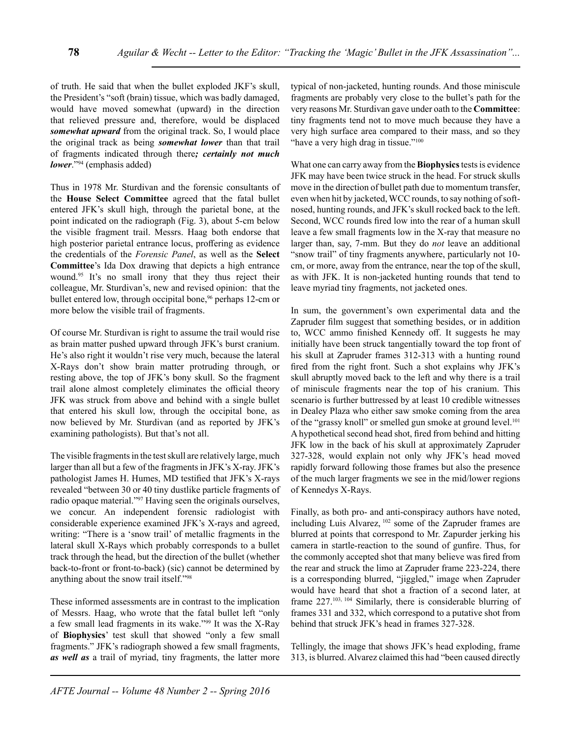of truth. He said that when the bullet exploded JKF's skull, the President's "soft (brain) tissue, which was badly damaged, would have moved somewhat (upward) in the direction that relieved pressure and, therefore, would be displaced *somewhat upward* from the original track. So, I would place the original track as being *somewhat lower* than that trail of fragments indicated through there*; certainly not much lower*."94 (emphasis added)

Thus in 1978 Mr. Sturdivan and the forensic consultants of the **House Select Committee** agreed that the fatal bullet entered JFK's skull high, through the parietal bone, at the point indicated on the radiograph (Fig. 3), about 5-cm below the visible fragment trail. Messrs. Haag both endorse that high posterior parietal entrance locus, proffering as evidence the credentials of the *Forensic Panel*, as well as the **Select Committee**'s Ida Dox drawing that depicts a high entrance wound.95 It's no small irony that they thus reject their colleague, Mr. Sturdivan's, new and revised opinion: that the bullet entered low, through occipital bone,<sup>96</sup> perhaps 12-cm or more below the visible trail of fragments.

Of course Mr. Sturdivan is right to assume the trail would rise as brain matter pushed upward through JFK's burst cranium. He's also right it wouldn't rise very much, because the lateral X-Rays don't show brain matter protruding through, or resting above, the top of JFK's bony skull. So the fragment trail alone almost completely eliminates the official theory JFK was struck from above and behind with a single bullet that entered his skull low, through the occipital bone, as now believed by Mr. Sturdivan (and as reported by JFK's examining pathologists). But that's not all.

The visible fragments in the test skull are relatively large, much larger than all but a few of the fragments in JFK's X-ray. JFK's pathologist James H. Humes, MD testified that JFK's X-rays revealed "between 30 or 40 tiny dustlike particle fragments of radio opaque material."<sup>97</sup> Having seen the originals ourselves, we concur. An independent forensic radiologist with considerable experience examined JFK's X-rays and agreed, writing: "There is a 'snow trail' of metallic fragments in the lateral skull X-Rays which probably corresponds to a bullet track through the head, but the direction of the bullet (whether back-to-front or front-to-back) (sic) cannot be determined by anything about the snow trail itself."98

These informed assessments are in contrast to the implication of Messrs. Haag, who wrote that the fatal bullet left "only a few small lead fragments in its wake."99 It was the X-Ray of **Biophysics**' test skull that showed "only a few small fragments." JFK's radiograph showed a few small fragments, *as well as* a trail of myriad, tiny fragments, the latter more typical of non-jacketed, hunting rounds. And those miniscule fragments are probably very close to the bullet's path for the very reasons Mr. Sturdivan gave under oath to the **Committee**: tiny fragments tend not to move much because they have a very high surface area compared to their mass, and so they "have a very high drag in tissue."<sup>100</sup>

What one can carry away from the **Biophysics** tests is evidence JFK may have been twice struck in the head. For struck skulls move in the direction of bullet path due to momentum transfer, even when hit by jacketed, WCC rounds, to say nothing of softnosed, hunting rounds, and JFK's skull rocked back to the left. Second, WCC rounds fired low into the rear of a human skull leave a few small fragments low in the X-ray that measure no larger than, say, 7-mm. But they do *not* leave an additional "snow trail" of tiny fragments anywhere, particularly not 10 cm, or more, away from the entrance, near the top of the skull, as with JFK. It is non-jacketed hunting rounds that tend to leave myriad tiny fragments, not jacketed ones.

In sum, the government's own experimental data and the Zapruder film suggest that something besides, or in addition to, WCC ammo finished Kennedy off. It suggests he may initially have been struck tangentially toward the top front of his skull at Zapruder frames 312-313 with a hunting round fired from the right front. Such a shot explains why JFK's skull abruptly moved back to the left and why there is a trail of miniscule fragments near the top of his cranium. This scenario is further buttressed by at least 10 credible witnesses in Dealey Plaza who either saw smoke coming from the area of the "grassy knoll" or smelled gun smoke at ground level.<sup>101</sup> A hypothetical second head shot, fired from behind and hitting JFK low in the back of his skull at approximately Zapruder 327-328, would explain not only why JFK's head moved rapidly forward following those frames but also the presence of the much larger fragments we see in the mid/lower regions of Kennedys X-Rays.

Finally, as both pro- and anti-conspiracy authors have noted, including Luis Alvarez, 102 some of the Zapruder frames are blurred at points that correspond to Mr. Zapurder jerking his camera in startle-reaction to the sound of gunfire. Thus, for the commonly accepted shot that many believe was fired from the rear and struck the limo at Zapruder frame 223-224, there is a corresponding blurred, "jiggled," image when Zapruder would have heard that shot a fraction of a second later, at frame 227.103, 104 Similarly, there is considerable blurring of frames 331 and 332, which correspond to a putative shot from behind that struck JFK's head in frames 327-328.

Tellingly, the image that shows JFK's head exploding, frame 313, is blurred. Alvarez claimed this had "been caused directly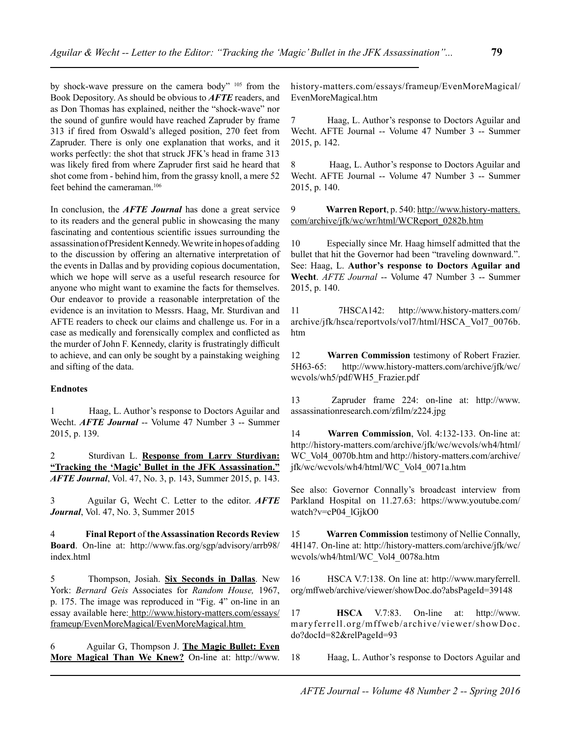by shock-wave pressure on the camera body" 105 from the Book Depository. As should be obvious to *AFTE* readers, and as Don Thomas has explained, neither the "shock-wave" nor the sound of gunfire would have reached Zapruder by frame 313 if fired from Oswald's alleged position, 270 feet from Zapruder. There is only one explanation that works, and it works perfectly: the shot that struck JFK's head in frame 313 was likely fired from where Zapruder first said he heard that shot come from - behind him, from the grassy knoll, a mere 52 feet behind the cameraman.106

In conclusion, the *AFTE Journal* has done a great service to its readers and the general public in showcasing the many fascinating and contentious scientific issues surrounding the assassination of President Kennedy. We write in hopes of adding to the discussion by offering an alternative interpretation of the events in Dallas and by providing copious documentation, which we hope will serve as a useful research resource for anyone who might want to examine the facts for themselves. Our endeavor to provide a reasonable interpretation of the evidence is an invitation to Messrs. Haag, Mr. Sturdivan and AFTE readers to check our claims and challenge us. For in a case as medically and forensically complex and conflicted as the murder of John F. Kennedy, clarity is frustratingly difficult to achieve, and can only be sought by a painstaking weighing and sifting of the data.

### **Endnotes**

1 Haag, L. Author's response to Doctors Aguilar and Wecht. *AFTE Journal* -- Volume 47 Number 3 -- Summer 2015, p. 139.

2 Sturdivan L. **Response from Larry Sturdivan: "Tracking the 'Magic' Bullet in the JFK Assassination."** *AFTE Journal*, Vol. 47, No. 3, p. 143, Summer 2015, p. 143.

3 Aguilar G, Wecht C. Letter to the editor. *AFTE Journal*, Vol. 47, No. 3, Summer 2015

4 **Final Report** of **the Assassination Records Review Board**. On-line at: http://www.fas.org/sgp/advisory/arrb98/ index.html

5 Thompson, Josiah. **Six Seconds in Dallas**. New York: *Bernard Geis* Associates for *Random House,* 1967, p. 175. The image was reproduced in "Fig. 4" on-line in an essay available here: http://www.history-matters.com/essays/ frameup/EvenMoreMagical/EvenMoreMagical.htm

6 Aguilar G, Thompson J. **The Magic Bullet: Even More Magical Than We Knew?** On-line at: http://www.

history-matters.com/essays/frameup/EvenMoreMagical/ EvenMoreMagical.htm

7 Haag, L. Author's response to Doctors Aguilar and Wecht. AFTE Journal -- Volume 47 Number 3 -- Summer 2015, p. 142.

8 Haag, L. Author's response to Doctors Aguilar and Wecht. AFTE Journal -- Volume 47 Number 3 -- Summer 2015, p. 140.

9 **Warren Report**, p. 540: http://www.history-matters. com/archive/jfk/wc/wr/html/WCReport\_0282b.htm

10 Especially since Mr. Haag himself admitted that the bullet that hit the Governor had been "traveling downward.". See: Haag, L. **Author's response to Doctors Aguilar and Wecht**. *AFTE Journal* -- Volume 47 Number 3 -- Summer 2015, p. 140.

11 7HSCA142: http://www.history-matters.com/ archive/jfk/hsca/reportvols/vol7/html/HSCA\_Vol7\_0076b. htm

12 **Warren Commission** testimony of Robert Frazier. 5H63-65: http://www.history-matters.com/archive/jfk/wc/ wcvols/wh5/pdf/WH5\_Frazier.pdf

13 Zapruder frame 224: on-line at: http://www. assassinationresearch.com/zfilm/z224.jpg

14 **Warren Commission**, Vol. 4:132-133. On-line at: http://history-matters.com/archive/jfk/wc/wcvols/wh4/html/ WC\_Vol4\_0070b.htm and http://history-matters.com/archive/ jfk/wc/wcvols/wh4/html/WC\_Vol4\_0071a.htm

See also: Governor Connally's broadcast interview from Parkland Hospital on 11.27.63: https://www.youtube.com/ watch?v=cP04\_lGjkO0

15 **Warren Commission** testimony of Nellie Connally, 4H147. On-line at: http://history-matters.com/archive/jfk/wc/ wcvols/wh4/html/WC\_Vol4\_0078a.htm

16 HSCA V.7:138. On line at: http://www.maryferrell. org/mffweb/archive/viewer/showDoc.do?absPageId=39148

17 **HSCA** V.7:83. On-line at: http://www. maryferrell.org/mffweb/archive/viewer/showDoc. do?docId=82&relPageId=93

18 Haag, L. Author's response to Doctors Aguilar and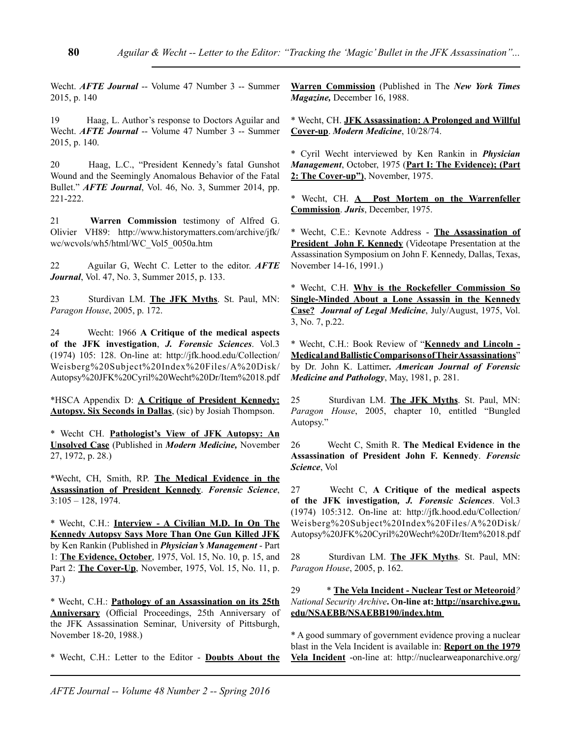Wecht. *AFTE Journal* -- Volume 47 Number 3 -- Summer 2015, p. 140

19 Haag, L. Author's response to Doctors Aguilar and Wecht. *AFTE Journal* -- Volume 47 Number 3 -- Summer 2015, p. 140.

20 Haag, L.C., "President Kennedy's fatal Gunshot Wound and the Seemingly Anomalous Behavior of the Fatal Bullet." *AFTE Journal*, Vol. 46, No. 3, Summer 2014, pp. 221-222.

21 **Warren Commission** testimony of Alfred G. Olivier VH89: http://www.historymatters.com/archive/jfk/ wc/wcvols/wh5/html/WC\_Vol5\_0050a.htm

22 Aguilar G, Wecht C. Letter to the editor. *AFTE Journal*, Vol. 47, No. 3, Summer 2015, p. 133.

23 Sturdivan LM. **The JFK Myths**. St. Paul, MN: *Paragon House*, 2005, p. 172.

24 Wecht: 1966 **A Critique of the medical aspects of the JFK investigation**, *J. Forensic Sciences*. Vol.3 (1974) 105: 128. On-line at: http://jfk.hood.edu/Collection/ Weisberg%20Subject%20Index%20Files/A%20Disk/ Autopsy%20JFK%20Cyril%20Wecht%20Dr/Item%2018.pdf

\*HSCA Appendix D: **A Critique of President Kennedy: Autopsy. Six Seconds in Dallas**, (sic) by Josiah Thompson.

\* Wecht CH. **Pathologist's View of JFK Autopsy: An Unsolved Case** (Published in *Modern Medicine,* November 27, 1972, p. 28.)

\*Wecht, CH, Smith, RP. **The Medical Evidence in the Assassination of President Kennedy**. *Forensic Science*, 3:105 – 128, 1974.

\* Wecht, C.H.: **Interview - A Civilian M.D. In On The Kennedy Autopsy Says More Than One Gun Killed JFK** by Ken Rankin (Published in *Physician's Management* - Part 1: **The Evidence, October**, 1975, Vol. 15, No. 10, p. 15, and Part 2: **The Cover-Up**, November, 1975, Vol. 15, No. 11, p. 37.)

\* Wecht, C.H.: **Pathology of an Assassination on its 25th Anniversary** (Official Proceedings, 25th Anniversary of the JFK Assassination Seminar, University of Pittsburgh, November 18-20, 1988.)

\* Wecht, C.H.: Letter to the Editor - **Doubts About the** 

**Warren Commission** (Published in The *New York Times Magazine,* December 16, 1988.

\* Wecht, CH. **JFK Assassination: A Prolonged and Willful Cover-up**. *Modern Medicine*, 10/28/74.

\* Cyril Wecht interviewed by Ken Rankin in *Physician Management*, October, 1975 (**Part I: The Evidence); (Part 2: The Cover-up")**, November, 1975.

\* Wecht, CH. **A Post Mortem on the Warrenfeller Commission**. *Juris*, December, 1975.

\* Wecht, C.E.: Kevnote Address - **The Assassination of President John F. Kennedy** (Videotape Presentation at the Assassination Symposium on John F. Kennedy, Dallas, Texas, November 14-16, 1991.)

\* Wecht, C.H. **Why is the Rockefeller Commission So Single-Minded About a Lone Assassin in the Kennedy Case?** *Journal of Legal Medicine*, July/August, 1975, Vol. 3, No. 7, p.22.

\* Wecht, C.H.: Book Review of "**Kennedy and Lincoln - Medical and Ballistic Comparisons of Their Assassinations**" by Dr. John K. Lattimer*. American Journal of Forensic Medicine and Pathology*, May, 1981, p. 281.

25 Sturdivan LM. **The JFK Myths**. St. Paul, MN: *Paragon House*, 2005, chapter 10, entitled "Bungled Autopsy."

26 Wecht C, Smith R. **The Medical Evidence in the Assassination of President John F. Kennedy**. *Forensic Science*, Vol

27 Wecht C, **A Critique of the medical aspects of the JFK investigation***, J. Forensic Sciences*. Vol.3 (1974) 105:312. On-line at: http://jfk.hood.edu/Collection/ Weisberg%20Subject%20Index%20Files/A%20Disk/ Autopsy%20JFK%20Cyril%20Wecht%20Dr/Item%2018.pdf

28 Sturdivan LM. **The JFK Myths**. St. Paul, MN: *Paragon House*, 2005, p. 162.

29 \* **The Vela Incident - Nuclear Test or Meteoroid***? National Security Archive***.** O**n-line at: http://nsarchive.gwu. edu/NSAEBB/NSAEBB190/index.htm**

\* A good summary of government evidence proving a nuclear blast in the Vela Incident is available in: **Report on the 1979 Vela Incident** -on-line at: http://nuclearweaponarchive.org/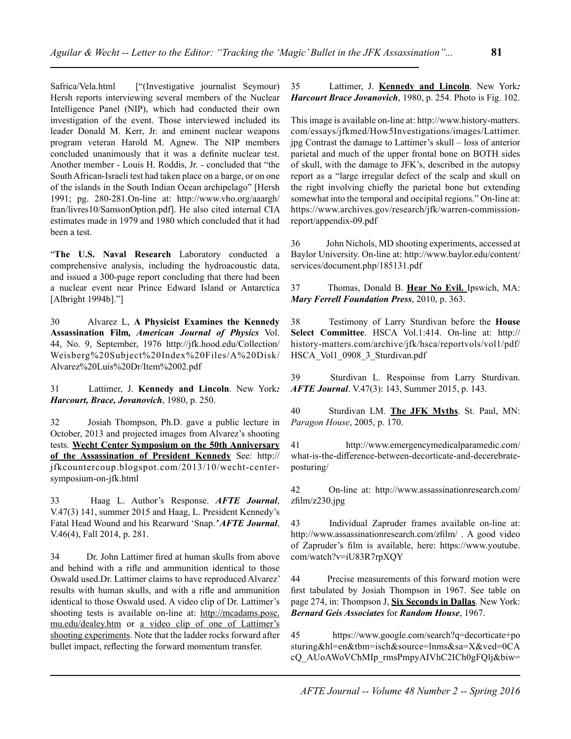Safrica/Vela.html ["(Investigative journalist Seymour) Hersh reports interviewing several members of the Nuclear Intelligence Panel (NIP), which had conducted their own investigation of the event. Those interviewed included its leader Donald M. Kerr, Jr. and eminent nuclear weapons program veteran Harold M. Agnew. The NIP members concluded unanimously that it was a definite nuclear test. Another member - Louis H. Roddis, Jr. - concluded that "the South African-Israeli test had taken place on a barge, or on one of the islands in the South Indian Ocean archipelago" [Hersh 1991; pg. 280-281.On-line at: http://www.vho.org/aaargh/ fran/livres10/SamsonOption.pdf]. He also cited internal CIA estimates made in 1979 and 1980 which concluded that it had been a test.

"**The U.S. Naval Research** Laboratory conducted a comprehensive analysis, including the hydroacoustic data, and issued a 300-page report concluding that there had been a nuclear event near Prince Edward Island or Antarctica [Albright 1994b]."]

30 Alvarez L, **A Physicist Examines the Kennedy Assassination Film***, American Journal of Physics* Vol. 44, No. 9, September, 1976 http://jfk.hood.edu/Collection/ Weisberg%20Subject%20Index%20Files/A%20Disk/ Alvarez%20Luis%20Dr/Item%2002.pdf

31 Lattimer, J. **Kennedy and Lincoln**. New York*: Harcourt, Brace, Jovanovich*, 1980, p. 250.

32 Josiah Thompson, Ph.D. gave a public lecture in October, 2013 and projected images from Alvarez's shooting tests. **Wecht Center Symposium on the 50th Anniversary of the Assassination of President Kennedy** See: http:// jfkcountercoup.blogspot.com/2013/10/wecht-centersymposium-on-jfk.html

33 Haag L. Author's Response. *AFTE Journal*, V.47(3) 141, summer 2015 and Haag, L. President Kennedy's Fatal Head Wound and his Rearward 'Snap.*' AFTE Journal*, V.46(4), Fall 2014, p. 281.

34 Dr. John Lattimer fired at human skulls from above and behind with a rifle and ammunition identical to those Oswald used.Dr. Lattimer claims to have reproduced Alvarez' results with human skulls, and with a rifle and ammunition identical to those Oswald used. A video clip of Dr. Lattimer's shooting tests is available on-line at: http://mcadams.posc. mu.edu/dealey.htm or a video clip of one of Lattimer's shooting experiments. Note that the ladder rocks forward after bullet impact, reflecting the forward momentum transfer.

35 Lattimer, J. **Kennedy and Lincoln**. New York*: Harcourt Brace Jovanovich*, 1980, p. 254. Photo is Fig. 102.

This image is available on-line at: http://www.history-matters. com/essays/jfkmed/How5Investigations/images/Lattimer. jpg Contrast the damage to Lattimer's skull – loss of anterior parietal and much of the upper frontal bone on BOTH sides of skull, with the damage to JFK's, described in the autopsy report as a "large irregular defect of the scalp and skull on the right involving chiefly the parietal bone but extending somewhat into the temporal and occipital regions." On-line at: https://www.archives.gov/research/jfk/warren-commissionreport/appendix-09.pdf

36 John Nichols, MD shooting experiments, accessed at Baylor University. On-line at: http://www.baylor.edu/content/ services/document.php/185131.pdf

37 Thomas, Donald B. **Hear No Evil.** Ipswich, MA: *Mary Ferrell Foundation Press*, 2010, p. 363.

38 Testimony of Larry Sturdivan before the **House Select Committee**. HSCA Vol.1:414. On-line at: http:// history-matters.com/archive/jfk/hsca/reportvols/vol1/pdf/ HSCA\_Vol1\_0908\_3\_Sturdivan.pdf

39 Sturdivan L. Respoinse from Larry Sturdivan. *AFTE Journal*. V.47(3): 143, Summer 2015, p. 143.

40 Sturdivan LM. **The JFK Myths**. St. Paul, MN: *Paragon House*, 2005, p. 170.

41 http://www.emergencymedicalparamedic.com/ what-is-the-difference-between-decorticate-and-decerebrateposturing/

42 On-line at: http://www.assassinationresearch.com/ zfilm/z230.jpg

43 Individual Zapruder frames available on-line at: http://www.assassinationresearch.com/zfilm/ . A good video of Zapruder's film is available, here: https://www.youtube. com/watch?v=iU83R7rpXQY

44 Precise measurements of this forward motion were first tabulated by Josiah Thompson in 1967. See table on page 274, in: Thompson J, **Six Seconds in Dallas**. New York: *Bernard Geis Associates* for *Random House*, 1967.

45 https://www.google.com/search?q=decorticate+po sturing&hl=en&tbm=isch&source=lnms&sa=X&ved=0CA cQ\_AUoAWoVChMIp\_rmsPmpyAIVhC2ICh0gFQlj&biw=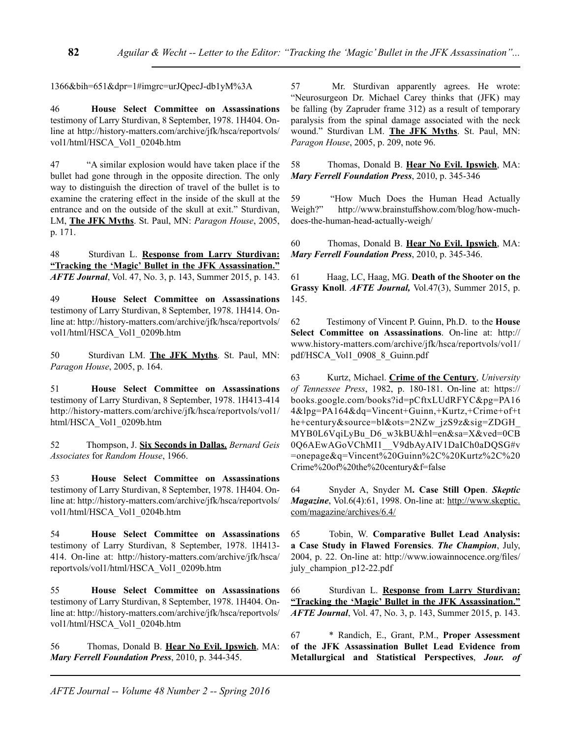1366&bih=651&dpr=1#imgrc=urJQpecJ-db1yM%3A

46 **House Select Committee on Assassinations** testimony of Larry Sturdivan, 8 September, 1978. 1H404. Online at http://history-matters.com/archive/jfk/hsca/reportvols/ vol1/html/HSCA\_Vol1\_0204b.htm

47 "A similar explosion would have taken place if the bullet had gone through in the opposite direction. The only way to distinguish the direction of travel of the bullet is to examine the cratering effect in the inside of the skull at the entrance and on the outside of the skull at exit." Sturdivan, LM, **The JFK Myths**. St. Paul, MN: *Paragon House*, 2005, p. 171.

48 Sturdivan L. **Response from Larry Sturdivan: "Tracking the 'Magic' Bullet in the JFK Assassination."** *AFTE Journal*, Vol. 47, No. 3, p. 143, Summer 2015, p. 143.

49 **House Select Committee on Assassinations** testimony of Larry Sturdivan, 8 September, 1978. 1H414. Online at: http://history-matters.com/archive/jfk/hsca/reportvols/ vol1/html/HSCA\_Vol1\_0209b.htm

50 Sturdivan LM. **The JFK Myths**. St. Paul, MN: *Paragon House*, 2005, p. 164.

51 **House Select Committee on Assassinations** testimony of Larry Sturdivan, 8 September, 1978. 1H413-414 http://history-matters.com/archive/jfk/hsca/reportvols/vol1/ html/HSCA\_Vol1\_0209b.htm

52 Thompson, J. **Six Seconds in Dallas.** *Bernard Geis Associates* for *Random House*, 1966.

53 **House Select Committee on Assassinations** testimony of Larry Sturdivan, 8 September, 1978. 1H404. Online at: http://history-matters.com/archive/jfk/hsca/reportvols/ vol1/html/HSCA\_Vol1\_0204b.htm

54 **House Select Committee on Assassinations** testimony of Larry Sturdivan, 8 September, 1978. 1H413- 414. On-line at: http://history-matters.com/archive/jfk/hsca/ reportvols/vol1/html/HSCA\_Vol1\_0209b.htm

55 **House Select Committee on Assassinations** testimony of Larry Sturdivan, 8 September, 1978. 1H404. Online at: http://history-matters.com/archive/jfk/hsca/reportvols/ vol1/html/HSCA\_Vol1\_0204b.htm

56 Thomas, Donald B. **Hear No Evil. Ipswich**, MA: *Mary Ferrell Foundation Press*, 2010, p. 344-345.

57 Mr. Sturdivan apparently agrees. He wrote: "Neurosurgeon Dr. Michael Carey thinks that (JFK) may be falling (by Zapruder frame 312) as a result of temporary paralysis from the spinal damage associated with the neck wound." Sturdivan LM. **The JFK Myths**. St. Paul, MN: *Paragon House*, 2005, p. 209, note 96.

58 Thomas, Donald B. **Hear No Evil. Ipswich**, MA: *Mary Ferrell Foundation Press*, 2010, p. 345-346

59 "How Much Does the Human Head Actually Weigh?" http://www.brainstuffshow.com/blog/how-muchdoes-the-human-head-actually-weigh/

60 Thomas, Donald B. **Hear No Evil. Ipswich**, MA: *Mary Ferrell Foundation Press*, 2010, p. 345-346.

61 Haag, LC, Haag, MG. **Death of the Shooter on the Grassy Knoll**. *AFTE Journal,* Vol.47(3), Summer 2015, p. 145.

62 Testimony of Vincent P. Guinn, Ph.D. to the **House Select Committee on Assassinations**. On-line at: http:// www.history-matters.com/archive/jfk/hsca/reportvols/vol1/ pdf/HSCA\_Vol1\_0908\_8\_Guinn.pdf

63 Kurtz, Michael. **Crime of the Century**, *University of Tennessee Press*, 1982, p. 180-181. On-line at: https:// books.google.com/books?id=pCftxLUdRFYC&pg=PA16 4&lpg=PA164&dq=Vincent+Guinn,+Kurtz,+Crime+of+t he+century&source=bl&ots=2NZw\_jzS9z&sig=ZDGH\_ MYB0L6VqiLyBu\_D6\_w3kBU&hl=en&sa=X&ved=0CB 0Q6AEwAGoVChMI1\_V9dbAyAIV1DaICh0aDQSG#v =onepage&q=Vincent%20Guinn%2C%20Kurtz%2C%20 Crime%20of%20the%20century&f=false

64 Snyder A, Snyder M**. Case Still Open**. *Skeptic Magazine*, Vol.6(4):61, 1998. On-line at: http://www.skeptic. com/magazine/archives/6.4/

65 Tobin, W. **Comparative Bullet Lead Analysis: a Case Study in Flawed Forensics**. *The Champion*, July, 2004, p. 22. On-line at: http://www.iowainnocence.org/files/ july champion p12-22.pdf

66 Sturdivan L. **Response from Larry Sturdivan: "Tracking the 'Magic' Bullet in the JFK Assassination."** *AFTE Journal*, Vol. 47, No. 3, p. 143, Summer 2015, p. 143.

67 \* Randich, E., Grant, P.M., **Proper Assessment of the JFK Assassination Bullet Lead Evidence from Metallurgical and Statistical Perspectives**, *Jour. of*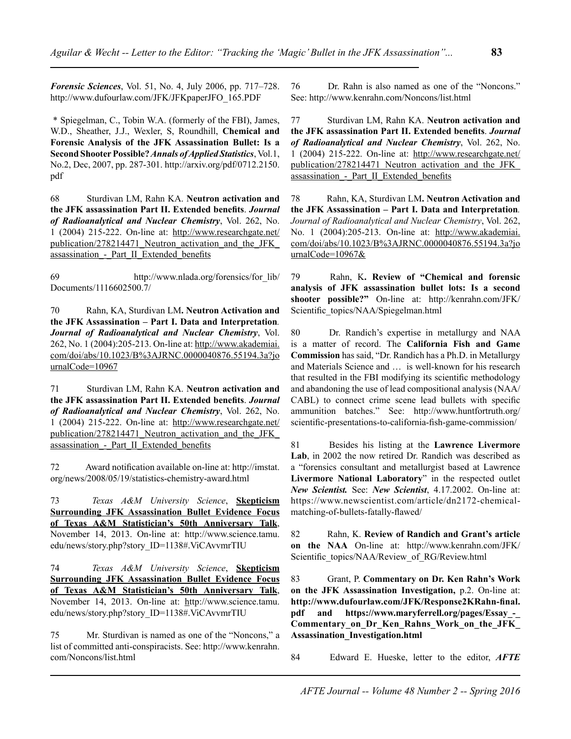*Forensic Sciences*, Vol. 51, No. 4, July 2006, pp. 717–728. http://www.dufourlaw.com/JFK/JFKpaperJFO\_165.PDF

 \* Spiegelman, C., Tobin W.A. (formerly of the FBI), James, W.D., Sheather, J.J., Wexler, S, Roundhill, **Chemical and Forensic Analysis of the JFK Assassination Bullet: Is a Second Shooter Possible?** *Annals of Applied Statistics*, Vol.1, No.2, Dec, 2007, pp. 287-301. http://arxiv.org/pdf/0712.2150. pdf

68 Sturdivan LM, Rahn KA. **Neutron activation and the JFK assassination Part II. Extended benefits**. *Journal of Radioanalytical and Nuclear Chemistry*, Vol. 262, No. 1 (2004) 215-222. On-line at: http://www.researchgate.net/ publication/278214471\_Neutron\_activation\_and\_the\_JFK\_ assassination - Part II Extended benefits

69 http://www.nlada.org/forensics/for\_lib/ Documents/1116602500.7/

70 Rahn, KA, Sturdivan LM**. Neutron Activation and the JFK Assassination – Part I. Data and Interpretation***. Journal of Radioanalytical and Nuclear Chemistry*, Vol. 262, No. 1 (2004):205-213. On-line at: http://www.akademiai. com/doi/abs/10.1023/B%3AJRNC.0000040876.55194.3a?jo urnalCode=10967

71 Sturdivan LM, Rahn KA. **Neutron activation and the JFK assassination Part II. Extended benefits**. *Journal of Radioanalytical and Nuclear Chemistry*, Vol. 262, No. 1 (2004) 215-222. On-line at: http://www.researchgate.net/ publication/278214471\_Neutron\_activation\_and\_the\_JFK\_ assassination - Part II Extended benefits

72 Award notification available on-line at: http://imstat. org/news/2008/05/19/statistics-chemistry-award.html

73 *Texas A&M University Science*, **Skepticism Surrounding JFK Assassination Bullet Evidence Focus of Texas A&M Statistician's 50th Anniversary Talk**, November 14, 2013. On-line at: http://www.science.tamu. edu/news/story.php?story\_ID=1138#.ViCAvvmrTIU

74 *Texas A&M University Science*, **Skepticism Surrounding JFK Assassination Bullet Evidence Focus of Texas A&M Statistician's 50th Anniversary Talk**, November 14, 2013. On-line at: http://www.science.tamu. edu/news/story.php?story\_ID=1138#.ViCAvvmrTIU

75 Mr. Sturdivan is named as one of the "Noncons," a list of committed anti-conspiracists. See: http://www.kenrahn. com/Noncons/list.html

76 Dr. Rahn is also named as one of the "Noncons." See: http://www.kenrahn.com/Noncons/list.html

77 Sturdivan LM, Rahn KA. **Neutron activation and the JFK assassination Part II. Extended benefits**. *Journal of Radioanalytical and Nuclear Chemistry*, Vol. 262, No. 1 (2004) 215-222. On-line at: http://www.researchgate.net/ publication/278214471\_Neutron\_activation\_and\_the\_JFK\_ assassination - Part II Extended benefits

78 Rahn, KA, Sturdivan LM**. Neutron Activation and the JFK Assassination – Part I. Data and Interpretation***. Journal of Radioanalytical and Nuclear Chemistry*, Vol. 262, No. 1 (2004):205-213. On-line at: http://www.akademiai. com/doi/abs/10.1023/B%3AJRNC.0000040876.55194.3a?jo urnalCode=10967&

79 Rahn, K**. Review of "Chemical and forensic analysis of JFK assassination bullet lots: Is a second shooter possible?"** On-line at: http://kenrahn.com/JFK/ Scientific\_topics/NAA/Spiegelman.html

80 Dr. Randich's expertise in metallurgy and NAA is a matter of record. The **California Fish and Game Commission** has said, "Dr. Randich has a Ph.D. in Metallurgy and Materials Science and … is well-known for his research that resulted in the FBI modifying its scientific methodology and abandoning the use of lead compositional analysis (NAA/ CABL) to connect crime scene lead bullets with specific ammunition batches." See: http://www.huntfortruth.org/ scientific-presentations-to-california-fish-game-commission/

81 Besides his listing at the **Lawrence Livermore Lab**, in 2002 the now retired Dr. Randich was described as a "forensics consultant and metallurgist based at Lawrence **Livermore National Laboratory**" in the respected outlet *New Scientist.* See: *New Scientist*, 4.17.2002. On-line at: https://www.newscientist.com/article/dn2172-chemicalmatching-of-bullets-fatally-flawed/

82 Rahn, K. **Review of Randich and Grant's article on the NAA** On-line at: http://www.kenrahn.com/JFK/ Scientific topics/NAA/Review of RG/Review.html

83 Grant, P. **Commentary on Dr. Ken Rahn's Work on the JFK Assassination Investigation,** p.2. On-line at: **http://www.dufourlaw.com/JFK/Response2KRahn-final. pdf and https://www.maryferrell.org/pages/Essay\_-\_ Commentary\_on\_Dr\_Ken\_Rahns\_Work\_on\_the\_JFK\_ Assassination\_Investigation.html**

84 Edward E. Hueske, letter to the editor, *AFTE*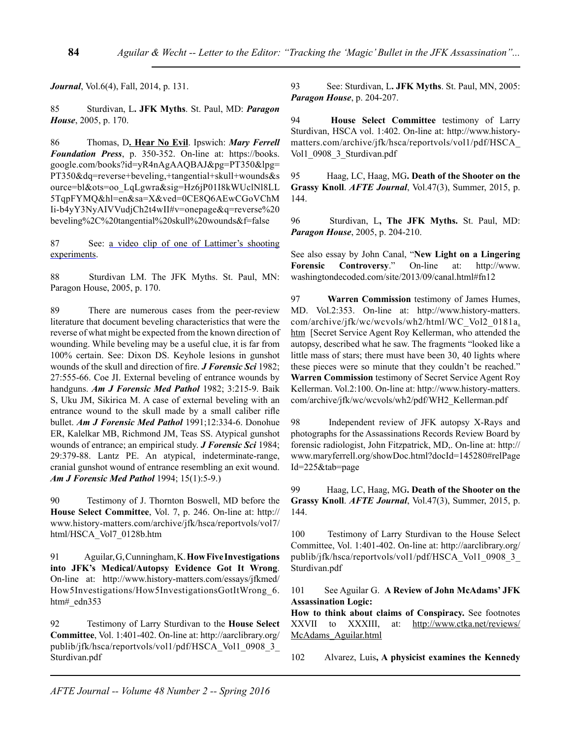*Journal*, Vol.6(4), Fall, 2014, p. 131.

85 Sturdivan, L**. JFK Myths**. St. Paul, MD: *Paragon House*, 2005, p. 170.

86 Thomas, D**. Hear No Evil**. Ipswich: *Mary Ferrell Foundation Press*, p. 350-352. On-line at: https://books. google.com/books?id=yR4nAgAAQBAJ&pg=PT350&lpg= PT350&dq=reverse+beveling,+tangential+skull+wounds&s ource=bl&ots=oo\_LqLgwra&sig=Hz6jP01I8kWUclNl8LL 5TqpFYMQ&hl=en&sa=X&ved=0CE8Q6AEwCGoVChM Ii-b4yY3NyAIVVudjCh2t4wII#v=onepage&q=reverse%20 beveling%2C%20tangential%20skull%20wounds&f=false

87 See: a video clip of one of Lattimer's shooting experiments.

88 Sturdivan LM. The JFK Myths. St. Paul, MN: Paragon House, 2005, p. 170.

89 There are numerous cases from the peer-review literature that document beveling characteristics that were the reverse of what might be expected from the known direction of wounding. While beveling may be a useful clue, it is far from 100% certain. See: Dixon DS. Keyhole lesions in gunshot wounds of the skull and direction of fire. *J Forensic Sci* 1982; 27:555-66. Coe JI. External beveling of entrance wounds by handguns. *Am J Forensic Med Pathol* 1982; 3:215-9. Baik S, Uku JM, Sikirica M. A case of external beveling with an entrance wound to the skull made by a small caliber rifle bullet. *Am J Forensic Med Pathol* 1991;12:334-6. Donohue ER, Kalelkar MB, Richmond JM, Teas SS. Atypical gunshot wounds of entrance; an empirical study. *J Forensic Sci* 1984; 29:379-88. Lantz PE. An atypical, indeterminate-range, cranial gunshot wound of entrance resembling an exit wound. *Am J Forensic Med Pathol* 1994; 15(1):5-9.)

90 Testimony of J. Thornton Boswell, MD before the **House Select Committee**, Vol. 7, p. 246. On-line at: http:// www.history-matters.com/archive/jfk/hsca/reportvols/vol7/ html/HSCA\_Vol7\_0128b.htm

91 Aguilar, G, Cunningham, K. **How Five Investigations into JFK's Medical/Autopsy Evidence Got It Wrong**. On-line at: http://www.history-matters.com/essays/jfkmed/ How5Investigations/How5InvestigationsGotItWrong\_6. htm# edn353

92 Testimony of Larry Sturdivan to the **House Select Committee**, Vol. 1:401-402. On-line at: http://aarclibrary.org/ publib/jfk/hsca/reportvols/vol1/pdf/HSCA\_Vol1\_0908\_3\_ Sturdivan.pdf

93 See: Sturdivan, L**. JFK Myths**. St. Paul, MN, 2005: *Paragon House*, p. 204-207.

94 **House Select Committee** testimony of Larry Sturdivan, HSCA vol. 1:402. On-line at: http://www.historymatters.com/archive/jfk/hsca/reportvols/vol1/pdf/HSCA\_ Vol1 0908 3 Sturdivan.pdf

95 Haag, LC, Haag, MG**. Death of the Shooter on the Grassy Knoll**. *AFTE Journal*, Vol.47(3), Summer, 2015, p. 144.

96 Sturdivan, L**, The JFK Myths.** St. Paul, MD: *Paragon House*, 2005, p. 204-210.

See also essay by John Canal, "**New Light on a Lingering Forensic Controversy**." On-line at: http://www. washingtondecoded.com/site/2013/09/canal.html#fn12

97 **Warren Commission** testimony of James Humes, MD. Vol.2:353. On-line at: http://www.history-matters. com/archive/jfk/wc/wcvols/wh2/html/WC\_Vol2\_0181a. htm [Secret Service Agent Roy Kellerman, who attended the autopsy, described what he saw. The fragments "looked like a little mass of stars; there must have been 30, 40 lights where these pieces were so minute that they couldn't be reached." **Warren Commission** testimony of Secret Service Agent Roy Kellerman. Vol.2:100. On-line at: http://www.history-matters. com/archive/jfk/wc/wcvols/wh2/pdf/WH2\_Kellerman.pdf

98 Independent review of JFK autopsy X-Rays and photographs for the Assassinations Records Review Board by forensic radiologist, John Fitzpatrick, MD,. On-line at: http:// www.maryferrell.org/showDoc.html?docId=145280#relPage Id=225&tab=page

99 Haag, LC, Haag, MG**. Death of the Shooter on the Grassy Knoll**. *AFTE Journal*, Vol.47(3), Summer, 2015, p. 144.

100 Testimony of Larry Sturdivan to the House Select Committee, Vol. 1:401-402. On-line at: http://aarclibrary.org/ publib/jfk/hsca/reportvols/vol1/pdf/HSCA\_Vol1\_0908\_3\_ Sturdivan.pdf

101 See Aguilar G. **A Review of John McAdams' JFK Assassination Logic:** 

**How to think about claims of Conspiracy.** See footnotes XXVII to XXXIII, at: http://www.ctka.net/reviews/ McAdams\_Aguilar.html

102 Alvarez, Luis**, A physicist examines the Kennedy**